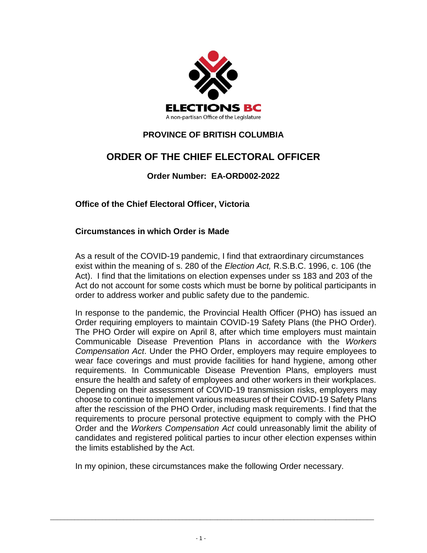

## **PROVINCE OF BRITISH COLUMBIA**

# **ORDER OF THE CHIEF ELECTORAL OFFICER**

## **Order Number: EA-ORD002-2022**

**Office of the Chief Electoral Officer, Victoria**

#### **Circumstances in which Order is Made**

As a result of the COVID-19 pandemic, I find that extraordinary circumstances exist within the meaning of s. 280 of the *Election Act,* R.S.B.C. 1996, c. 106 (the Act). I find that the limitations on election expenses under ss 183 and 203 of the Act do not account for some costs which must be borne by political participants in order to address worker and public safety due to the pandemic.

In response to the pandemic, the Provincial Health Officer (PHO) has issued an Order requiring employers to maintain COVID-19 Safety Plans (the PHO Order). The PHO Order will expire on April 8, after which time employers must maintain Communicable Disease Prevention Plans in accordance with the *Workers Compensation Act*. Under the PHO Order, employers may require employees to wear face coverings and must provide facilities for hand hygiene, among other requirements. In Communicable Disease Prevention Plans, employers must ensure the health and safety of employees and other workers in their workplaces. Depending on their assessment of COVID-19 transmission risks, employers may choose to continue to implement various measures of their COVID-19 Safety Plans after the rescission of the PHO Order, including mask requirements. I find that the requirements to procure personal protective equipment to comply with the PHO Order and the *Workers Compensation Act* could unreasonably limit the ability of candidates and registered political parties to incur other election expenses within the limits established by the Act.

In my opinion, these circumstances make the following Order necessary.

\_\_\_\_\_\_\_\_\_\_\_\_\_\_\_\_\_\_\_\_\_\_\_\_\_\_\_\_\_\_\_\_\_\_\_\_\_\_\_\_\_\_\_\_\_\_\_\_\_\_\_\_\_\_\_\_\_\_\_\_\_\_\_\_\_\_\_\_\_\_\_\_\_\_\_\_\_\_\_\_\_\_\_\_\_\_\_\_\_\_\_\_\_